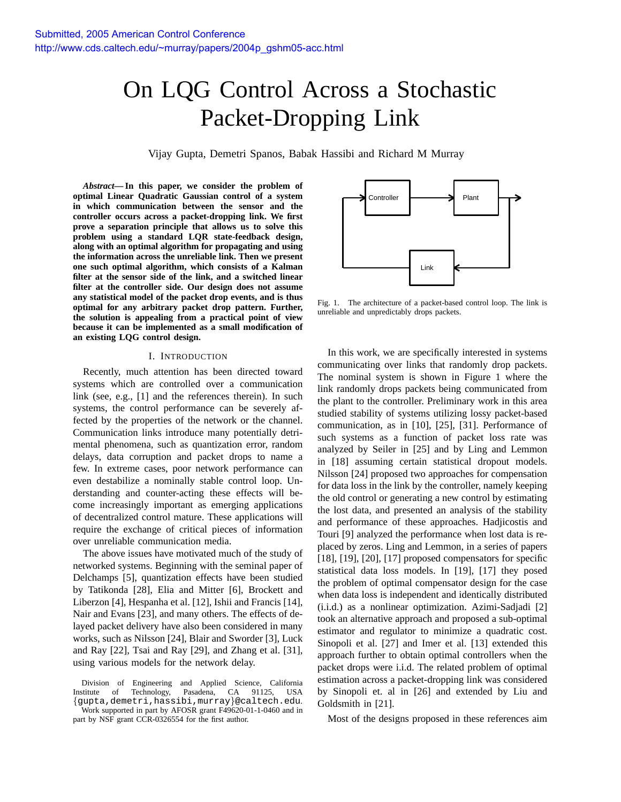# On LQG Control Across a Stochastic Packet-Dropping Link

Vijay Gupta, Demetri Spanos, Babak Hassibi and Richard M Murray

*Abstract***—In this paper, we consider the problem of optimal Linear Quadratic Gaussian control of a system in which communication between the sensor and the controller occurs across a packet-dropping link. We first prove a separation principle that allows us to solve this problem using a standard LQR state-feedback design, along with an optimal algorithm for propagating and using the information across the unreliable link. Then we present one such optimal algorithm, which consists of a Kalman filter at the sensor side of the link, and a switched linear filter at the controller side. Our design does not assume any statistical model of the packet drop events, and is thus optimal for any arbitrary packet drop pattern. Further, the solution is appealing from a practical point of view because it can be implemented as a small modification of an existing LQG control design.**

#### I. INTRODUCTION

Recently, much attention has been directed toward systems which are controlled over a communication link (see, e.g., [1] and the references therein). In such systems, the control performance can be severely affected by the properties of the network or the channel. Communication links introduce many potentially detrimental phenomena, such as quantization error, random delays, data corruption and packet drops to name a few. In extreme cases, poor network performance can even destabilize a nominally stable control loop. Understanding and counter-acting these effects will become increasingly important as emerging applications of decentralized control mature. These applications will require the exchange of critical pieces of information over unreliable communication media.

The above issues have motivated much of the study of networked systems. Beginning with the seminal paper of Delchamps [5], quantization effects have been studied by Tatikonda [28], Elia and Mitter [6], Brockett and Liberzon [4], Hespanha et al. [12], Ishii and Francis [14], Nair and Evans [23], and many others. The effects of delayed packet delivery have also been considered in many works, such as Nilsson [24], Blair and Sworder [3], Luck and Ray [22], Tsai and Ray [29], and Zhang et al. [31], using various models for the network delay.

Division of Engineering and Applied Science, California Institute of Technology, Pasadena, CA 91125, USA {gupta,demetri,hassibi,murray}@caltech.edu.

Work supported in part by AFOSR grant F49620-01-1-0460 and in part by NSF grant CCR-0326554 for the first author.



Fig. 1. The architecture of a packet-based control loop. The link is unreliable and unpredictably drops packets.

In this work, we are specifically interested in systems communicating over links that randomly drop packets. The nominal system is shown in Figure 1 where the link randomly drops packets being communicated from the plant to the controller. Preliminary work in this area studied stability of systems utilizing lossy packet-based communication, as in [10], [25], [31]. Performance of such systems as a function of packet loss rate was analyzed by Seiler in [25] and by Ling and Lemmon in [18] assuming certain statistical dropout models. Nilsson [24] proposed two approaches for compensation for data loss in the link by the controller, namely keeping the old control or generating a new control by estimating the lost data, and presented an analysis of the stability and performance of these approaches. Hadjicostis and Touri [9] analyzed the performance when lost data is replaced by zeros. Ling and Lemmon, in a series of papers [18], [19], [20], [17] proposed compensators for specific statistical data loss models. In [19], [17] they posed the problem of optimal compensator design for the case when data loss is independent and identically distributed (i.i.d.) as a nonlinear optimization. Azimi-Sadjadi [2] took an alternative approach and proposed a sub-optimal estimator and regulator to minimize a quadratic cost. Sinopoli et al. [27] and Imer et al. [13] extended this approach further to obtain optimal controllers when the packet drops were i.i.d. The related problem of optimal estimation across a packet-dropping link was considered by Sinopoli et. al in [26] and extended by Liu and Goldsmith in [21].

Most of the designs proposed in these references aim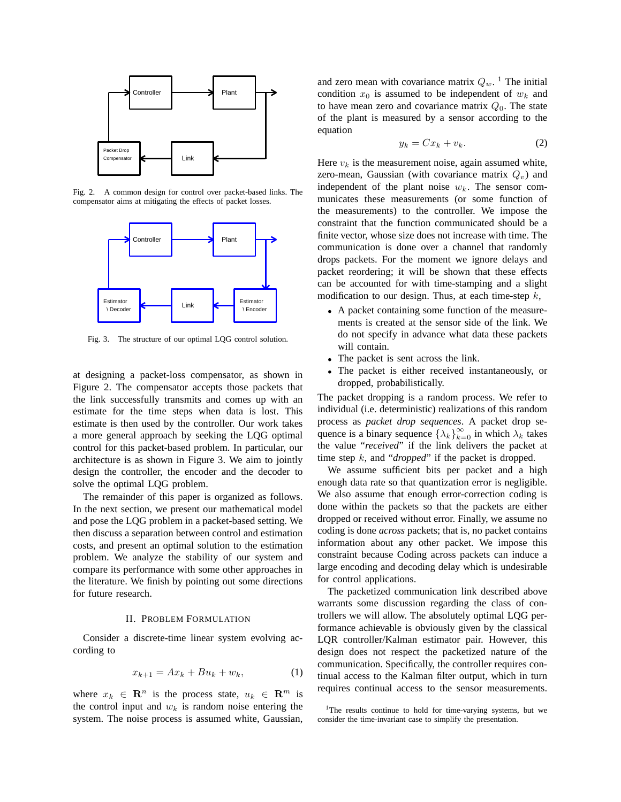

Fig. 2. A common design for control over packet-based links. The compensator aims at mitigating the effects of packet losses.



Fig. 3. The structure of our optimal LQG control solution.

at designing a packet-loss compensator, as shown in Figure 2. The compensator accepts those packets that the link successfully transmits and comes up with an estimate for the time steps when data is lost. This estimate is then used by the controller. Our work takes a more general approach by seeking the LQG optimal control for this packet-based problem. In particular, our architecture is as shown in Figure 3. We aim to jointly design the controller, the encoder and the decoder to solve the optimal LQG problem.

The remainder of this paper is organized as follows. In the next section, we present our mathematical model and pose the LQG problem in a packet-based setting. We then discuss a separation between control and estimation costs, and present an optimal solution to the estimation problem. We analyze the stability of our system and compare its performance with some other approaches in the literature. We finish by pointing out some directions for future research.

#### II. PROBLEM FORMULATION

Consider a discrete-time linear system evolving according to

$$
x_{k+1} = Ax_k + Bu_k + w_k, \t\t(1)
$$

where  $x_k \in \mathbb{R}^n$  is the process state,  $u_k \in \mathbb{R}^m$  is the control input and  $w_k$  is random noise entering the system. The noise process is assumed white, Gaussian,

and zero mean with covariance matrix  $Q_w$ . <sup>1</sup> The initial condition  $x_0$  is assumed to be independent of  $w_k$  and to have mean zero and covariance matrix  $Q_0$ . The state of the plant is measured by a sensor according to the equation

$$
y_k = Cx_k + v_k. \tag{2}
$$

Here  $v_k$  is the measurement noise, again assumed white, zero-mean, Gaussian (with covariance matrix  $Q_v$ ) and independent of the plant noise  $w_k$ . The sensor communicates these measurements (or some function of the measurements) to the controller. We impose the constraint that the function communicated should be a finite vector, whose size does not increase with time. The communication is done over a channel that randomly drops packets. For the moment we ignore delays and packet reordering; it will be shown that these effects can be accounted for with time-stamping and a slight modification to our design. Thus, at each time-step  $k$ ,

- A packet containing some function of the measurements is created at the sensor side of the link. We do not specify in advance what data these packets will contain.
- The packet is sent across the link.
- The packet is either received instantaneously, or dropped, probabilistically.

The packet dropping is a random process. We refer to individual (i.e. deterministic) realizations of this random process as *packet drop sequences*. A packet drop sequence is a binary sequence  $\{\lambda_k\}_{k=0}^{\infty}$  in which  $\lambda_k$  takes the value "*received*" if the link delivers the packet at time step k, and "*dropped*" if the packet is dropped.

We assume sufficient bits per packet and a high enough data rate so that quantization error is negligible. We also assume that enough error-correction coding is done within the packets so that the packets are either dropped or received without error. Finally, we assume no coding is done *across* packets; that is, no packet contains information about any other packet. We impose this constraint because Coding across packets can induce a large encoding and decoding delay which is undesirable for control applications.

The packetized communication link described above warrants some discussion regarding the class of controllers we will allow. The absolutely optimal LQG performance achievable is obviously given by the classical LQR controller/Kalman estimator pair. However, this design does not respect the packetized nature of the communication. Specifically, the controller requires continual access to the Kalman filter output, which in turn requires continual access to the sensor measurements.

<sup>&</sup>lt;sup>1</sup>The results continue to hold for time-varying systems, but we consider the time-invariant case to simplify the presentation.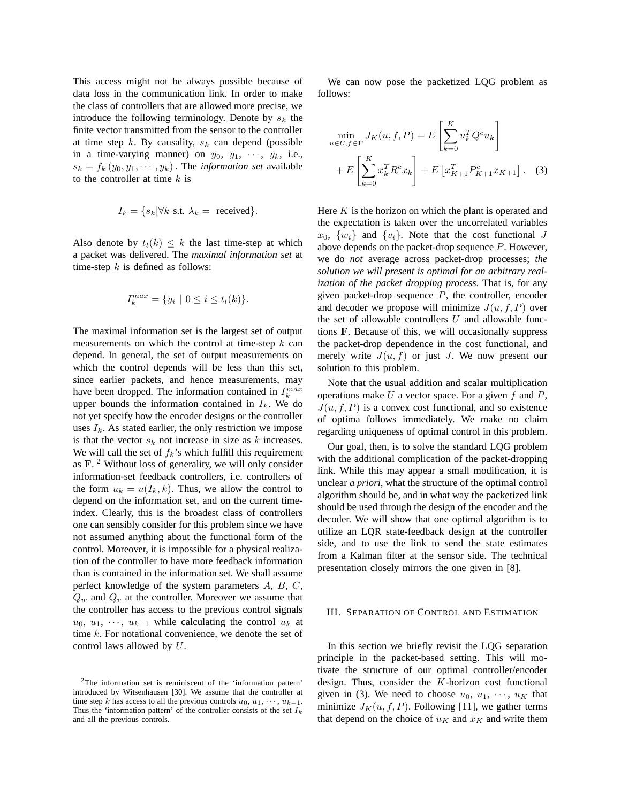This access might not be always possible because of data loss in the communication link. In order to make the class of controllers that are allowed more precise, we introduce the following terminology. Denote by  $s_k$  the finite vector transmitted from the sensor to the controller at time step k. By causality,  $s_k$  can depend (possible in a time-varying manner) on  $y_0$ ,  $y_1$ ,  $\cdots$ ,  $y_k$ , i.e.,  $s_k = f_k(y_0, y_1, \dots, y_k)$ . The *information set* available to the controller at time  $k$  is

$$
I_k = \{s_k | \forall k \text{ s.t. } \lambda_k = \text{ received}\}.
$$

Also denote by  $t_l(k) \leq k$  the last time-step at which a packet was delivered. The *maximal information set* at time-step  $k$  is defined as follows:

$$
I_k^{max} = \{ y_i \mid 0 \le i \le t_l(k) \}.
$$

The maximal information set is the largest set of output measurements on which the control at time-step  $k$  can depend. In general, the set of output measurements on which the control depends will be less than this set, since earlier packets, and hence measurements, may have been dropped. The information contained in  $I_k^{max}$ upper bounds the information contained in  $I_k$ . We do not yet specify how the encoder designs or the controller uses  $I_k$ . As stated earlier, the only restriction we impose is that the vector  $s_k$  not increase in size as k increases. We will call the set of  $f_k$ 's which fulfill this requirement as  $\mathbf{F}$ . <sup>2</sup> Without loss of generality, we will only consider information-set feedback controllers, i.e. controllers of the form  $u_k = u(I_k, k)$ . Thus, we allow the control to depend on the information set, and on the current timeindex. Clearly, this is the broadest class of controllers one can sensibly consider for this problem since we have not assumed anything about the functional form of the control. Moreover, it is impossible for a physical realization of the controller to have more feedback information than is contained in the information set. We shall assume perfect knowledge of the system parameters A, B, C,  $Q_w$  and  $Q_v$  at the controller. Moreover we assume that the controller has access to the previous control signals  $u_0, u_1, \cdots, u_{k-1}$  while calculating the control  $u_k$  at time k. For notational convenience, we denote the set of control laws allowed by U.

We can now pose the packetized LQG problem as follows:

$$
\min_{u \in U, f \in \mathbf{F}} J_K(u, f, P) = E\left[\sum_{k=0}^K u_k^T Q^c u_k\right] + E\left[\sum_{k=0}^K x_k^T R^c x_k\right] + E\left[x_{K+1}^T P_{K+1}^c x_{K+1}\right].
$$
 (3)

Here  $K$  is the horizon on which the plant is operated and the expectation is taken over the uncorrelated variables  $x_0$ ,  $\{w_i\}$  and  $\{v_i\}$ . Note that the cost functional J above depends on the packet-drop sequence P. However, we do *not* average across packet-drop processes; *the solution we will present is optimal for an arbitrary realization of the packet dropping process*. That is, for any given packet-drop sequence  $P$ , the controller, encoder and decoder we propose will minimize  $J(u, f, P)$  over the set of allowable controllers  $U$  and allowable functions F. Because of this, we will occasionally suppress the packet-drop dependence in the cost functional, and merely write  $J(u, f)$  or just J. We now present our solution to this problem.

Note that the usual addition and scalar multiplication operations make  $U$  a vector space. For a given  $f$  and  $P$ ,  $J(u, f, P)$  is a convex cost functional, and so existence of optima follows immediately. We make no claim regarding uniqueness of optimal control in this problem.

Our goal, then, is to solve the standard LQG problem with the additional complication of the packet-dropping link. While this may appear a small modification, it is unclear *a priori*, what the structure of the optimal control algorithm should be, and in what way the packetized link should be used through the design of the encoder and the decoder. We will show that one optimal algorithm is to utilize an LQR state-feedback design at the controller side, and to use the link to send the state estimates from a Kalman filter at the sensor side. The technical presentation closely mirrors the one given in [8].

# III. SEPARATION OF CONTROL AND ESTIMATION

In this section we briefly revisit the LQG separation principle in the packet-based setting. This will motivate the structure of our optimal controller/encoder design. Thus, consider the K-horizon cost functional given in (3). We need to choose  $u_0, u_1, \dots, u_K$  that minimize  $J_K(u, f, P)$ . Following [11], we gather terms that depend on the choice of  $u_K$  and  $x_K$  and write them

<sup>2</sup>The information set is reminiscent of the 'information pattern' introduced by Witsenhausen [30]. We assume that the controller at time step k has access to all the previous controls  $u_0, u_1, \dots, u_{k-1}$ . Thus the 'information pattern' of the controller consists of the set  $I_k$ and all the previous controls.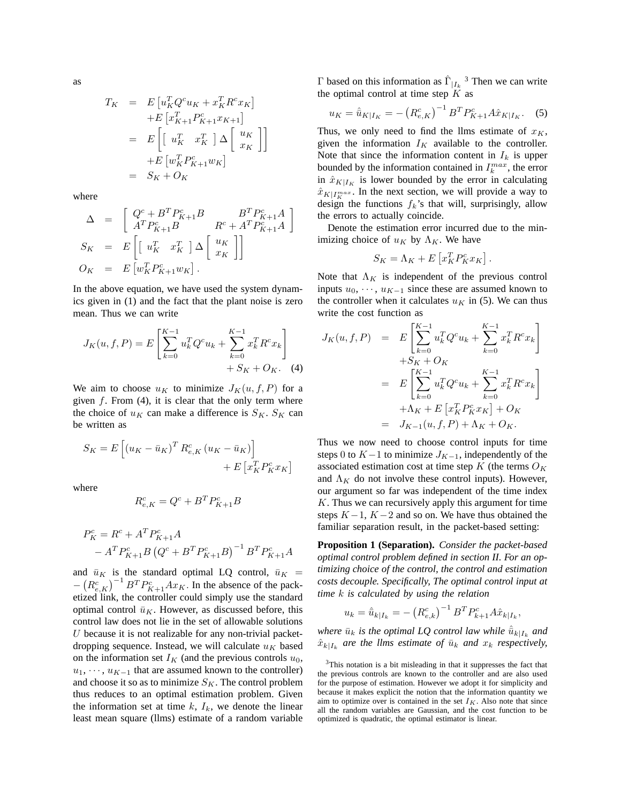as

$$
T_K = E\left[u_K^T Q^c u_K + x_K^T R^c x_K\right]
$$
  
\n
$$
+ E\left[x_{K+1}^T P^c_{K+1} x_{K+1}\right]
$$
  
\n
$$
= E\left[\left[u_K^T x_K^T\right] \Delta \left[\begin{array}{c} u_K \\ x_K \end{array}\right]\right]
$$
  
\n
$$
+ E\left[w_K^T P^c_{K+1} w_K\right]
$$
  
\n
$$
= S_K + O_K
$$

where

$$
\Delta = \begin{bmatrix} Q^c + B^T P^c_{K+1} B & B^T P^c_{K+1} A \\ A^T P^c_{K+1} B & R^c + A^T P^c_{K+1} A \end{bmatrix}
$$
  
\n
$$
S_K = E \begin{bmatrix} u_K^T & x_K^T \end{bmatrix} \Delta \begin{bmatrix} u_K \\ x_K \end{bmatrix}
$$
  
\n
$$
O_K = E \begin{bmatrix} w_K^T P^c_{K+1} w_K \end{bmatrix}.
$$

In the above equation, we have used the system dynamics given in (1) and the fact that the plant noise is zero mean. Thus we can write

$$
J_K(u, f, P) = E\left[\sum_{k=0}^{K-1} u_k^T Q^c u_k + \sum_{k=0}^{K-1} x_k^T R^c x_k\right] + S_K + O_K.
$$
 (4)

We aim to choose  $u_K$  to minimize  $J_K(u, f, P)$  for a given  $f$ . From (4), it is clear that the only term where the choice of  $u_K$  can make a difference is  $S_K$ .  $S_K$  can be written as

$$
S_K = E\left[\left(u_K - \bar{u}_K\right)^T R_{e,K}^c \left(u_K - \bar{u}_K\right)\right] + E\left[x_K^T P_K^c x_K\right]
$$

where

$$
R_{e,K}^c = Q^c + B^T P_{K+1}^c B
$$

$$
P_K^c = R^c + A^T P_{K+1}^c A
$$
  
-  $A^T P_{K+1}^c B (Q^c + B^T P_{K+1}^c B)^{-1} B^T P_{K+1}^c A$ 

and  $\bar{u}_K$  is the standard optimal LQ control,  $\bar{u}_K$  =  $-(R_{e,K}^c)^{-1}B^T P_{K+1}^c A x_K$ . In the absence of the packetized link, the controller could simply use the standard optimal control  $\bar{u}_K$ . However, as discussed before, this control law does not lie in the set of allowable solutions  $U$  because it is not realizable for any non-trivial packetdropping sequence. Instead, we will calculate  $u_K$  based on the information set  $I_K$  (and the previous controls  $u_0$ ,  $u_1, \dots, u_{K-1}$  that are assumed known to the controller) and choose it so as to minimize  $S_K$ . The control problem thus reduces to an optimal estimation problem. Given the information set at time  $k$ ,  $I_k$ , we denote the linear least mean square (llms) estimate of a random variable

Γ based on this information as  $\hat{\Gamma}_{|I_k}$ <sup>3</sup> Then we can write the optimal control at time step  $K$  as

$$
u_K = \hat{u}_{K|I_K} = -\left(R_{e,K}^c\right)^{-1} B^T P_{K+1}^c A \hat{x}_{K|I_K}.
$$
 (5)

Thus, we only need to find the llms estimate of  $x_K$ , given the information  $I_K$  available to the controller. Note that since the information content in  $I_k$  is upper bounded by the information contained in  $I_k^{max}$ , the error in  $\hat{x}_{K|I_K}$  is lower bounded by the error in calculating  $\hat{x}_{K|I_{K}^{max}}$ . In the next section, we will provide a way to design the functions  $f_k$ 's that will, surprisingly, allow the errors to actually coincide.

Denote the estimation error incurred due to the minimizing choice of  $u_K$  by  $\Lambda_K$ . We have

$$
S_K = \Lambda_K + E\left[x_K^T P_K^c x_K\right]
$$

.

Note that  $\Lambda_K$  is independent of the previous control inputs  $u_0, \dots, u_{K-1}$  since these are assumed known to the controller when it calculates  $u_K$  in (5). We can thus write the cost function as

$$
J_K(u, f, P) = E\left[\sum_{k=0}^{K-1} u_k^T Q^c u_k + \sum_{k=0}^{K-1} x_k^T R^c x_k\right] + S_K + O_K = E\left[\sum_{k=0}^{K-1} u_k^T Q^c u_k + \sum_{k=0}^{K-1} x_k^T R^c x_k\right] + \Lambda_K + E\left[x_k^T P_K^c x_K\right] + O_K = J_{K-1}(u, f, P) + \Lambda_K + O_K.
$$

Thus we now need to choose control inputs for time steps 0 to  $K-1$  to minimize  $J_{K-1}$ , independently of the associated estimation cost at time step  $K$  (the terms  $O_K$ and  $\Lambda_K$  do not involve these control inputs). However, our argument so far was independent of the time index  $K$ . Thus we can recursively apply this argument for time steps  $K-1$ ,  $K-2$  and so on. We have thus obtained the familiar separation result, in the packet-based setting:

**Proposition 1 (Separation).** *Consider the packet-based optimal control problem defined in section II. For an optimizing choice of the control, the control and estimation costs decouple. Specifically, The optimal control input at time* k *is calculated by using the relation*

$$
u_k = \hat{u}_{k|I_k} = -\left(R_{e,k}^c\right)^{-1} B^T P_{k+1}^c A \hat{x}_{k|I_k},
$$

*where*  $\bar{u}_k$  *is the optimal LQ control law while*  $\hat{\bar{u}}_{k|I_k}$  *and*  $\hat{x}_{k|I_k}$  are the llms estimate of  $\bar{u}_k$  and  $x_k$  respectively,

<sup>&</sup>lt;sup>3</sup>This notation is a bit misleading in that it suppresses the fact that the previous controls are known to the controller and are also used for the purpose of estimation. However we adopt it for simplicity and because it makes explicit the notion that the information quantity we aim to optimize over is contained in the set  $I_K$ . Also note that since all the random variables are Gaussian, and the cost function to be optimized is quadratic, the optimal estimator is linear.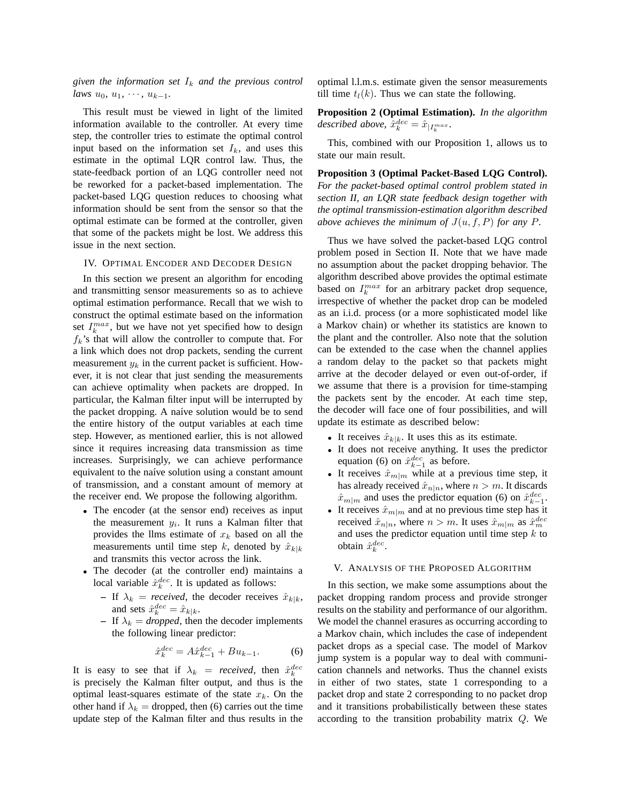*given the information set*  $I_k$  *and the previous control laws*  $u_0, u_1, \cdots, u_{k-1}$ .

This result must be viewed in light of the limited information available to the controller. At every time step, the controller tries to estimate the optimal control input based on the information set  $I_k$ , and uses this estimate in the optimal LQR control law. Thus, the state-feedback portion of an LQG controller need not be reworked for a packet-based implementation. The packet-based LQG question reduces to choosing what information should be sent from the sensor so that the optimal estimate can be formed at the controller, given that some of the packets might be lost. We address this issue in the next section.

#### IV. OPTIMAL ENCODER AND DECODER DESIGN

In this section we present an algorithm for encoding and transmitting sensor measurements so as to achieve optimal estimation performance. Recall that we wish to construct the optimal estimate based on the information set  $I_k^{max}$ , but we have not yet specified how to design  $f_k$ 's that will allow the controller to compute that. For a link which does not drop packets, sending the current measurement  $y_k$  in the current packet is sufficient. However, it is not clear that just sending the measurements can achieve optimality when packets are dropped. In particular, the Kalman filter input will be interrupted by the packet dropping. A naíve solution would be to send the entire history of the output variables at each time step. However, as mentioned earlier, this is not allowed since it requires increasing data transmission as time increases. Surprisingly, we can achieve performance equivalent to the naíve solution using a constant amount of transmission, and a constant amount of memory at the receiver end. We propose the following algorithm.

- The encoder (at the sensor end) receives as input the measurement  $y_i$ . It runs a Kalman filter that provides the llms estimate of  $x_k$  based on all the measurements until time step k, denoted by  $\hat{x}_{k|k}$ and transmits this vector across the link.
- The decoder (at the controller end) maintains a local variable  $\hat{x}_k^{dec}$ . It is updated as follows:
	- **–** If  $\lambda_k$  = *received*, the decoder receives  $\hat{x}_{k|k}$ , and sets  $\hat{x}_k^{dec} = \hat{x}_{k|k}$ .
	- **–** If  $\lambda_k = dropped$ , then the decoder implements the following linear predictor:

$$
\hat{x}_{k}^{dec} = A\hat{x}_{k-1}^{dec} + Bu_{k-1}.
$$
 (6)

It is easy to see that if  $\lambda_k$  = *received*, then  $\hat{x}_k^{dec}$ is precisely the Kalman filter output, and thus is the optimal least-squares estimate of the state  $x_k$ . On the other hand if  $\lambda_k$  = dropped, then (6) carries out the time update step of the Kalman filter and thus results in the

optimal l.l.m.s. estimate given the sensor measurements till time  $t_l(k)$ . Thus we can state the following.

**Proposition 2 (Optimal Estimation).** *In the algorithm*  $described\ above,\ \hat{x}_{k}^{dec}=\hat{x}_{\mid I_{k}^{max}}.$ 

This, combined with our Proposition 1, allows us to state our main result.

**Proposition 3 (Optimal Packet-Based LQG Control).** *For the packet-based optimal control problem stated in section II, an LQR state feedback design together with the optimal transmission-estimation algorithm described above achieves the minimum of*  $J(u, f, P)$  *for any*  $P$ *.* 

Thus we have solved the packet-based LQG control problem posed in Section II. Note that we have made no assumption about the packet dropping behavior. The algorithm described above provides the optimal estimate based on  $I_k^{max}$  for an arbitrary packet drop sequence, irrespective of whether the packet drop can be modeled as an i.i.d. process (or a more sophisticated model like a Markov chain) or whether its statistics are known to the plant and the controller. Also note that the solution can be extended to the case when the channel applies a random delay to the packet so that packets might arrive at the decoder delayed or even out-of-order, if we assume that there is a provision for time-stamping the packets sent by the encoder. At each time step, the decoder will face one of four possibilities, and will update its estimate as described below:

- It receives  $\hat{x}_{k|k}$ . It uses this as its estimate.
- It does not receive anything. It uses the predictor equation (6) on  $\hat{x}_{k-1}^{dec}$  as before.
- It receives  $\hat{x}_{m|m}$  while at a previous time step, it has already received  $\hat{x}_{n|n}$ , where  $n > m$ . It discards  $\hat{x}_{m|m}$  and uses the predictor equation (6) on  $\hat{x}_{k-1}^{dec}$ .
- It receives  $\hat{x}_{m|m}$  and at no previous time step has it received  $\hat{x}_{n|n}$ , where  $n > m$ . It uses  $\hat{x}_{m|m}$  as  $\hat{x}_{m}^{dec}$ and uses the predictor equation until time step  $k$  to obtain  $\hat{x}_k^{dec}$ .

# V. ANALYSIS OF THE PROPOSED ALGORITHM

In this section, we make some assumptions about the packet dropping random process and provide stronger results on the stability and performance of our algorithm. We model the channel erasures as occurring according to a Markov chain, which includes the case of independent packet drops as a special case. The model of Markov jump system is a popular way to deal with communication channels and networks. Thus the channel exists in either of two states, state 1 corresponding to a packet drop and state 2 corresponding to no packet drop and it transitions probabilistically between these states according to the transition probability matrix Q. We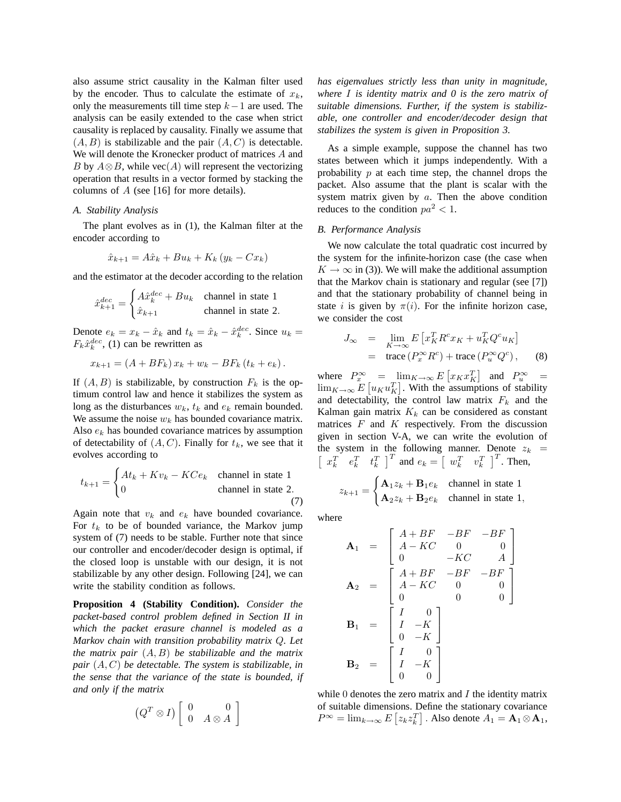also assume strict causality in the Kalman filter used by the encoder. Thus to calculate the estimate of  $x_k$ , only the measurements till time step  $k-1$  are used. The analysis can be easily extended to the case when strict causality is replaced by causality. Finally we assume that  $(A, B)$  is stabilizable and the pair  $(A, C)$  is detectable. We will denote the Kronecker product of matrices A and B by  $A \otimes B$ , while vec $(A)$  will represent the vectorizing operation that results in a vector formed by stacking the columns of  $A$  (see [16] for more details).

### *A. Stability Analysis*

The plant evolves as in (1), the Kalman filter at the encoder according to

$$
\hat{x}_{k+1} = A\hat{x}_k + Bu_k + K_k (y_k - Cx_k)
$$

and the estimator at the decoder according to the relation

$$
\hat{x}_{k+1}^{dec} = \begin{cases}\nA\hat{x}_k^{dec} + Bu_k & \text{channel in state 1} \\
\hat{x}_{k+1} & \text{channel in state 2.} \n\end{cases}
$$

Denote  $e_k = x_k - \hat{x}_k$  and  $t_k = \hat{x}_k - \hat{x}_k^{dec}$ . Since  $u_k =$  $F_k \hat{x}_k^{dec}$ , (1) can be rewritten as

$$
x_{k+1} = (A + BF_k) x_k + w_k - BF_k (t_k + e_k).
$$

If  $(A, B)$  is stabilizable, by construction  $F_k$  is the optimum control law and hence it stabilizes the system as long as the disturbances  $w_k$ ,  $t_k$  and  $e_k$  remain bounded. We assume the noise  $w_k$  has bounded covariance matrix. Also  $e_k$  has bounded covariance matrices by assumption of detectability of  $(A, C)$ . Finally for  $t_k$ , we see that it evolves according to

$$
t_{k+1} = \begin{cases} At_k + Kv_k - KCe_k & \text{channel in state 1} \\ 0 & \text{channel in state 2.} \end{cases}
$$

Again note that  $v_k$  and  $e_k$  have bounded covariance. For  $t_k$  to be of bounded variance, the Markov jump system of (7) needs to be stable. Further note that since our controller and encoder/decoder design is optimal, if the closed loop is unstable with our design, it is not stabilizable by any other design. Following [24], we can write the stability condition as follows.

**Proposition 4 (Stability Condition).** *Consider the packet-based control problem defined in Section II in which the packet erasure channel is modeled as a Markov chain with transition probability matrix* Q*. Let the matrix pair* (A, B) *be stabilizable and the matrix pair* (A, C) *be detectable. The system is stabilizable, in the sense that the variance of the state is bounded, if and only if the matrix*

$$
(Q^T \otimes I) \left[ \begin{array}{cc} 0 & 0 \\ 0 & A \otimes A \end{array} \right]
$$

*has eigenvalues strictly less than unity in magnitude, where* I *is identity matrix and 0 is the zero matrix of suitable dimensions. Further, if the system is stabilizable, one controller and encoder/decoder design that stabilizes the system is given in Proposition 3.*

As a simple example, suppose the channel has two states between which it jumps independently. With a probability  $p$  at each time step, the channel drops the packet. Also assume that the plant is scalar with the system matrix given by  $a$ . Then the above condition reduces to the condition  $pa^2 < 1$ .

#### *B. Performance Analysis*

We now calculate the total quadratic cost incurred by the system for the infinite-horizon case (the case when  $K \to \infty$  in (3)). We will make the additional assumption that the Markov chain is stationary and regular (see [7]) and that the stationary probability of channel being in state *i* is given by  $\pi(i)$ . For the infinite horizon case, we consider the cost

$$
J_{\infty} = \lim_{K \to \infty} E \left[ x_K^T R^c x_K + u_K^T Q^c u_K \right]
$$
  
= trace  $(P_x^{\infty} R^c)$  + trace  $(P_u^{\infty} Q^c)$ , (8)

where  $P_x^{\infty}$  =  $\lim_{K \to \infty} E[x_K x_K^T]$  and  $P_u^{\infty}$  =  $\lim_{K\to\infty} E[u_K u_K^T]$ . With the assumptions of stability and detectability, the control law matrix  $F_k$  and the Kalman gain matrix  $K_k$  can be considered as constant matrices  $F$  and  $K$  respectively. From the discussion given in section V-A, we can write the evolution of the system in the following manner. Denote  $z_k$  =  $\begin{bmatrix} x_k^T & e_k^T & t_k^T \end{bmatrix}^T$  and  $e_k = \begin{bmatrix} w_k^T & v_k^T \end{bmatrix}^T$ . Then,

$$
z_{k+1} = \begin{cases} \mathbf{A}_1 z_k + \mathbf{B}_1 e_k & \text{channel in state 1} \\ \mathbf{A}_2 z_k + \mathbf{B}_2 e_k & \text{channel in state 1,} \end{cases}
$$

where

$$
\mathbf{A}_{1} = \begin{bmatrix} A + BF & -BF & -BF \\ A - KC & 0 & 0 \\ 0 & -KC & A \end{bmatrix}
$$

$$
\mathbf{A}_{2} = \begin{bmatrix} A + BF & -BF & -BF \\ A - KC & 0 & 0 \\ 0 & 0 & 0 \end{bmatrix}
$$

$$
\mathbf{B}_{1} = \begin{bmatrix} I & 0 \\ I & -K \\ 0 & -K \end{bmatrix}
$$

$$
\mathbf{B}_{2} = \begin{bmatrix} I & 0 \\ I & -K \\ 0 & 0 \end{bmatrix}
$$

while  $\theta$  denotes the zero matrix and  $I$  the identity matrix of suitable dimensions. Define the stationary covariance  $P^{\infty} = \lim_{k \to \infty} E\left[z_k z_k^T\right]$ . Also denote  $A_1 = \mathbf{A}_1 \otimes \mathbf{A}_1$ ,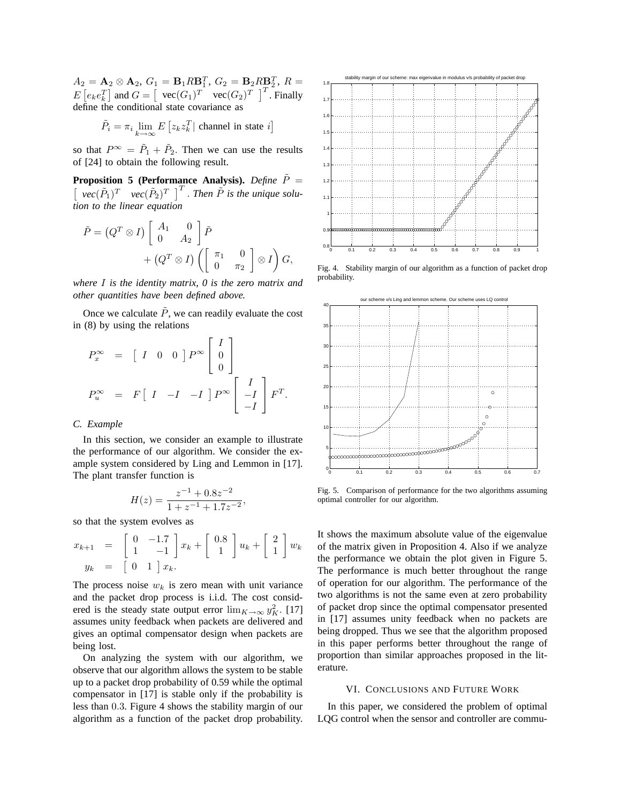$A_2 = \mathbf{A}_2 \otimes \mathbf{A}_2, G_1 = \mathbf{B}_1 R \mathbf{B}_1^T, G_2 = \mathbf{B}_2 R \mathbf{B}_2^T, R =$  $E\left[e_k e_k^T\right]$  and  $G = \left[\begin{array}{cc} \text{vec}(G_1)^T & \text{vec}(G_2)^T \end{array}\right]^T$ . Finally define the conditional state covariance as

$$
\tilde{P}_i = \pi_i \lim_{k \to \infty} E\left[z_k z_k^T\right] \text{ channel in state } i\right]
$$

so that  $P^{\infty} = \tilde{P}_1 + \tilde{P}_2$ . Then we can use the results of [24] to obtain the following result.

**Proposition 5 (Performance Analysis).** *Define*  $\tilde{P}$  =  $\lceil$  $\vec{vec}(\tilde{P}_1)^T$   $vec{vec}(\tilde{P}_2)^T$  |<sup>T</sup>. *Then*  $\tilde{P}$  *is the unique solution to the linear equation*

$$
\tilde{P} = (Q^T \otimes I) \begin{bmatrix} A_1 & 0 \\ 0 & A_2 \end{bmatrix} \tilde{P} + (Q^T \otimes I) \left( \begin{bmatrix} \pi_1 & 0 \\ 0 & \pi_2 \end{bmatrix} \otimes I \right) G,
$$

*where* I *is the identity matrix, 0 is the zero matrix and other quantities have been defined above.*

Once we calculate  $\tilde{P}$ , we can readily evaluate the cost in (8) by using the relations

$$
P_x^{\infty} = [I \ 0 \ 0] P^{\infty} \begin{bmatrix} I \\ 0 \\ 0 \end{bmatrix}
$$
  

$$
P_u^{\infty} = F [I \ -I \ -I] P^{\infty} \begin{bmatrix} I \\ -I \\ -I \end{bmatrix} F^T.
$$

# *C. Example*

In this section, we consider an example to illustrate the performance of our algorithm. We consider the example system considered by Ling and Lemmon in [17]. The plant transfer function is

$$
H(z) = \frac{z^{-1} + 0.8z^{-2}}{1 + z^{-1} + 1.7z^{-2}},
$$

so that the system evolves as

$$
x_{k+1} = \begin{bmatrix} 0 & -1.7 \\ 1 & -1 \end{bmatrix} x_k + \begin{bmatrix} 0.8 \\ 1 \end{bmatrix} u_k + \begin{bmatrix} 2 \\ 1 \end{bmatrix} w_k
$$
  

$$
y_k = \begin{bmatrix} 0 & 1 \end{bmatrix} x_k.
$$

The process noise  $w_k$  is zero mean with unit variance and the packet drop process is i.i.d. The cost considered is the steady state output error  $\lim_{K \to \infty} y_K^2$ . [17] assumes unity feedback when packets are delivered and gives an optimal compensator design when packets are being lost.

On analyzing the system with our algorithm, we observe that our algorithm allows the system to be stable up to a packet drop probability of 0.59 while the optimal compensator in [17] is stable only if the probability is less than 0.3. Figure 4 shows the stability margin of our algorithm as a function of the packet drop probability.



Fig. 4. Stability margin of our algorithm as a function of packet drop probability.



Fig. 5. Comparison of performance for the two algorithms assuming optimal controller for our algorithm.

It shows the maximum absolute value of the eigenvalue of the matrix given in Proposition 4. Also if we analyze the performance we obtain the plot given in Figure 5. The performance is much better throughout the range of operation for our algorithm. The performance of the two algorithms is not the same even at zero probability of packet drop since the optimal compensator presented in [17] assumes unity feedback when no packets are being dropped. Thus we see that the algorithm proposed in this paper performs better throughout the range of proportion than similar approaches proposed in the literature.

#### VI. CONCLUSIONS AND FUTURE WORK

In this paper, we considered the problem of optimal LQG control when the sensor and controller are commu